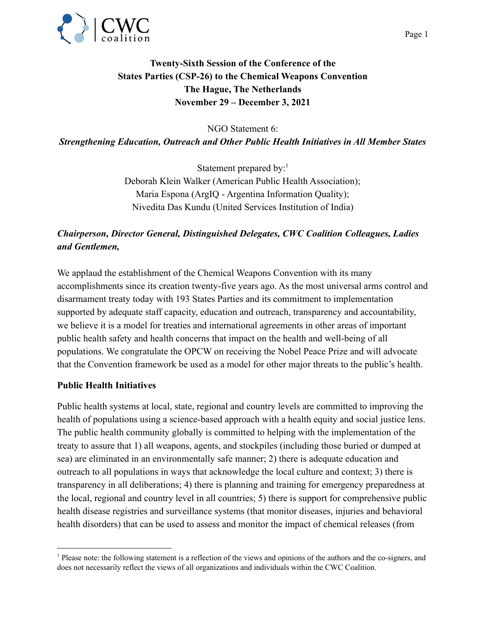

# **Twenty-Sixth Session of the Conference of the States Parties (CSP-26) to the Chemical Weapons Convention The Hague, The Netherlands November 29 – December 3, 2021**

NGO Statement 6:

*Strengthening Education, Outreach and Other Public Health Initiatives in All Member States*

Statement prepared by: $<sup>1</sup>$ </sup> Deborah Klein Walker (American Public Health Association); Maria Espona (ArgIQ - Argentina Information Quality); Nivedita Das Kundu (United Services Institution of India)

## *Chairperson, Director General, Distinguished Delegates, CWC Coalition Colleagues, Ladies and Gentlemen,*

We applaud the establishment of the Chemical Weapons Convention with its many accomplishments since its creation twenty-five years ago. As the most universal arms control and disarmament treaty today with 193 States Parties and its commitment to implementation supported by adequate staff capacity, education and outreach, transparency and accountability, we believe it is a model for treaties and international agreements in other areas of important public health safety and health concerns that impact on the health and well-being of all populations. We congratulate the OPCW on receiving the Nobel Peace Prize and will advocate that the Convention framework be used as a model for other major threats to the public's health.

#### **Public Health Initiatives**

Public health systems at local, state, regional and country levels are committed to improving the health of populations using a science-based approach with a health equity and social justice lens. The public health community globally is committed to helping with the implementation of the treaty to assure that 1) all weapons, agents, and stockpiles (including those buried or dumped at sea) are eliminated in an environmentally safe manner; 2) there is adequate education and outreach to all populations in ways that acknowledge the local culture and context; 3) there is transparency in all deliberations; 4) there is planning and training for emergency preparedness at the local, regional and country level in all countries; 5) there is support for comprehensive public health disease registries and surveillance systems (that monitor diseases, injuries and behavioral health disorders) that can be used to assess and monitor the impact of chemical releases (from

<sup>1</sup> Please note: the following statement is a reflection of the views and opinions of the authors and the co-signers, and does not necessarily reflect the views of all organizations and individuals within the CWC Coalition.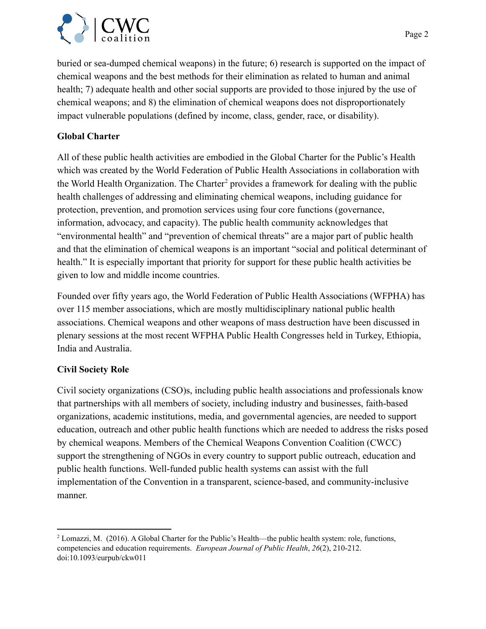

buried or sea-dumped chemical weapons) in the future; 6) research is supported on the impact of chemical weapons and the best methods for their elimination as related to human and animal health; 7) adequate health and other social supports are provided to those injured by the use of chemical weapons; and 8) the elimination of chemical weapons does not disproportionately impact vulnerable populations (defined by income, class, gender, race, or disability).

### **Global Charter**

All of these public health activities are embodied in the Global Charter for the Public's Health which was created by the World Federation of Public Health Associations in collaboration with the World Health Organization. The Charter<sup>2</sup> provides a framework for dealing with the public health challenges of addressing and eliminating chemical weapons, including guidance for protection, prevention, and promotion services using four core functions (governance, information, advocacy, and capacity). The public health community acknowledges that "environmental health" and "prevention of chemical threats" are a major part of public health and that the elimination of chemical weapons is an important "social and political determinant of health." It is especially important that priority for support for these public health activities be given to low and middle income countries.

Founded over fifty years ago, the World Federation of Public Health Associations (WFPHA) has over 115 member associations, which are mostly multidisciplinary national public health associations. Chemical weapons and other weapons of mass destruction have been discussed in plenary sessions at the most recent WFPHA Public Health Congresses held in Turkey, Ethiopia, India and Australia.

## **Civil Society Role**

Civil society organizations (CSO)s, including public health associations and professionals know that partnerships with all members of society, including industry and businesses, faith-based organizations, academic institutions, media, and governmental agencies, are needed to support education, outreach and other public health functions which are needed to address the risks posed by chemical weapons. Members of the Chemical Weapons Convention Coalition (CWCC) support the strengthening of NGOs in every country to support public outreach, education and public health functions. Well-funded public health systems can assist with the full implementation of the Convention in a transparent, science-based, and community-inclusive manner.

<sup>&</sup>lt;sup>2</sup> Lomazzi, M. (2016). A Global Charter for the Public's Health—the public health system: role, functions, competencies and education requirements. *European Journal of Public Health*, *26*(2), 210-212. doi:10.1093/eurpub/ckw011